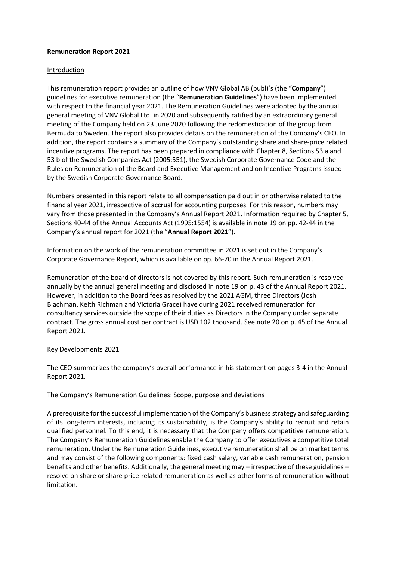# **Remuneration Report 2021**

### Introduction

This remuneration report provides an outline of how VNV Global AB (publ)'s (the "**Company**") guidelines for executive remuneration (the "**Remuneration Guidelines**") have been implemented with respect to the financial year 2021. The Remuneration Guidelines were adopted by the annual general meeting of VNV Global Ltd. in 2020 and subsequently ratified by an extraordinary general meeting of the Company held on 23 June 2020 following the redomestication of the group from Bermuda to Sweden. The report also provides details on the remuneration of the Company's CEO. In addition, the report contains a summary of the Company's outstanding share and share-price related incentive programs. The report has been prepared in compliance with Chapter 8, Sections 53 a and 53 b of the Swedish Companies Act (2005:551), the Swedish Corporate Governance Code and the Rules on Remuneration of the Board and Executive Management and on Incentive Programs issued by the Swedish Corporate Governance Board.

Numbers presented in this report relate to all compensation paid out in or otherwise related to the financial year 2021, irrespective of accrual for accounting purposes. For this reason, numbers may vary from those presented in the Company's Annual Report 2021. Information required by Chapter 5, Sections 40-44 of the Annual Accounts Act (1995:1554) is available in note 19 on pp. 42-44 in the Company's annual report for 2021 (the "**Annual Report 2021**").

Information on the work of the remuneration committee in 2021 is set out in the Company's Corporate Governance Report, which is available on pp. 66-70 in the Annual Report 2021.

Remuneration of the board of directors is not covered by this report. Such remuneration is resolved annually by the annual general meeting and disclosed in note 19 on p. 43 of the Annual Report 2021. However, in addition to the Board fees as resolved by the 2021 AGM, three Directors (Josh Blachman, Keith Richman and Victoria Grace) have during 2021 received remuneration for consultancy services outside the scope of their duties as Directors in the Company under separate contract. The gross annual cost per contract is USD 102 thousand. See note 20 on p. 45 of the Annual Report 2021.

# Key Developments 2021

The CEO summarizes the company's overall performance in his statement on pages 3-4 in the Annual Report 2021.

# The Company's Remuneration Guidelines: Scope, purpose and deviations

A prerequisite for the successful implementation of the Company's business strategy and safeguarding of its long-term interests, including its sustainability, is the Company's ability to recruit and retain qualified personnel. To this end, it is necessary that the Company offers competitive remuneration. The Company's Remuneration Guidelines enable the Company to offer executives a competitive total remuneration. Under the Remuneration Guidelines, executive remuneration shall be on market terms and may consist of the following components: fixed cash salary, variable cash remuneration, pension benefits and other benefits. Additionally, the general meeting may – irrespective of these guidelines – resolve on share or share price-related remuneration as well as other forms of remuneration without limitation.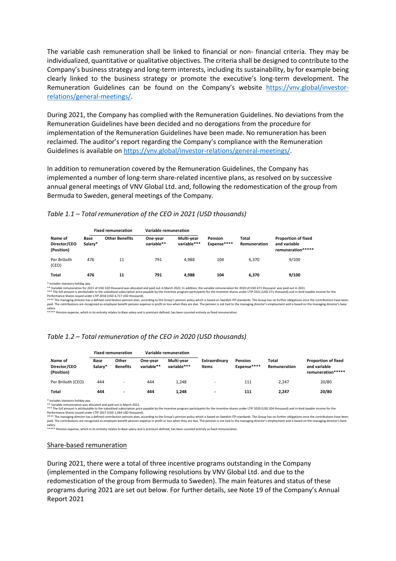The variable cash remuneration shall be linked to financial or non- financial criteria. They may be individualized, quantitative or qualitative objectives. The criteria shall be designed to contribute to the Company's business strategy and long-term interests, including its sustainability, by for example being clearly linked to the business strategy or promote the executive's long-term development. The Remuneration Guidelines can be found on the Company's website https://vnv.global/investorrelations/general-meetings/.

During 2021, the Company has complied with the Remuneration Guidelines. No deviations from the Remuneration Guidelines have been decided and no derogations from the procedure for implementation of the Remuneration Guidelines have been made. No remuneration has been reclaimed. The auditor's report regarding the Company's compliance with the Remuneration Guidelines is available on https://vnv.global/investor-relations/general-meetings/.

In addition to remuneration covered by the Remuneration Guidelines, the Company has implemented a number of long-term share-related incentive plans, as resolved on by successive annual general meetings of VNV Global Ltd. and, following the redomestication of the group from Bermuda to Sweden, general meetings of the Company.

### *Table 1.1 – Total remuneration of the CEO in 2021 (USD thousands)*

|                                       | <b>Fixed remuneration</b> |                                                                                                                                                                                                                                                                  | Variable remuneration  |                           |                        |                       |                                                                                                                                                                                                                       |  |
|---------------------------------------|---------------------------|------------------------------------------------------------------------------------------------------------------------------------------------------------------------------------------------------------------------------------------------------------------|------------------------|---------------------------|------------------------|-----------------------|-----------------------------------------------------------------------------------------------------------------------------------------------------------------------------------------------------------------------|--|
| Name of<br>Director/CEO<br>(Position) | Base<br>Salary*           | <b>Other Benefits</b>                                                                                                                                                                                                                                            | One-year<br>variable** | Multi-vear<br>variable*** | Pension<br>Expense**** | Total<br>Remuneration | <b>Proportion of fixed</b><br>and variable<br>remuneration*****                                                                                                                                                       |  |
| Per Brilioth<br>(CEO)                 | 476                       | 11                                                                                                                                                                                                                                                               | 791                    | 4.988                     | 104                    | 6.370                 | 9/100                                                                                                                                                                                                                 |  |
| Total                                 | 476                       | 11                                                                                                                                                                                                                                                               | 791                    | 4.988                     | 104                    | 6.370                 | 9/100                                                                                                                                                                                                                 |  |
| * Includes statutory holiday pay.     |                           | ** Variable remuneration for 2021 of USD 320 thousand was allocated and paid out in March 2022. In addition, the variable remuneration for 2020 of USD 471 thousand was paid out in 2021.<br>Performance Shares issued under LTIP 2018 (USD 4.717 USD thousand). |                        |                           |                        |                       | *** The full amount is attributable to the subsidized subscription price payable by the incentive program participants for the incentive shares under LTIP 2021 (USD 271 thousand) and in-kind taxable income for the |  |

\*\*\*\* The managing director has a defined contribution pension plan, according to the Group's pension policy which is based on Swedish ITP-standards. The Group has no further obligations once the contributions have been paid. The contributions are recognized as employee benefit pension expense in profit or loss when they are due. The pension is not tied to the managing director's employment and is based on the managing director's base

salary. \*\*\*\*\* Pension expense, which in its entirety relates to Base salary and is premium defined, has been counted entirely as fixed remuneration.

### *Table 1.2 – Total remuneration of the CEO in 2020 (USD thousands)*

|                                       | <b>Fixed remuneration</b> |                          | Variable remuneration  |                           |                          |                               |                       |                                                                 |
|---------------------------------------|---------------------------|--------------------------|------------------------|---------------------------|--------------------------|-------------------------------|-----------------------|-----------------------------------------------------------------|
| Name of<br>Director/CEO<br>(Position) | Base<br>Salary*           | Other<br><b>Benefits</b> | One-vear<br>variable** | Multi-vear<br>variable*** | Extraordinary<br>Items   | <b>Pension</b><br>Expense**** | Total<br>Remuneration | <b>Proportion of fixed</b><br>and variable<br>remuneration***** |
| Per Brilioth (CEO)                    | 444                       | -                        | 444                    | 1.248                     | -                        | 111                           | 2.247                 | 20/80                                                           |
| <b>Total</b>                          | 444                       | $\overline{\phantom{a}}$ | 444                    | 1.248                     | $\overline{\phantom{0}}$ | 111                           | 2.247                 | 20/80                                                           |

\* Includes statutory holiday pay. \*\* Variable remuneration was allocated and paid out in March 2021.

\*\* The full amount is attributable to the subsidized subscription price  $\mu$  price payable by the incentive program participants for the incentive shares under LTIP 2020 (USD 204 thousand) and in-kind taxable income for th

Performance Shares issued under LTIP 2017 (USD 1,044 USD thousand).<br>\*\*\*\* The managing director has a defined contribution pension policy which is based on Swedish ITP-standards. The Group has no further obligations once th

salary. \*\*\*\*\* Pension expense, which in its entirety relates to Base salary and is premium defined, has been counted entirely as fixed remuneration.

#### Share-based remuneration

During 2021, there were a total of three incentive programs outstanding in the Company (implemented in the Company following resolutions by VNV Global Ltd. and due to the redomestication of the group from Bermuda to Sweden). The main features and status of these programs during 2021 are set out below. For further details, see Note 19 of the Company's Annual Report 2021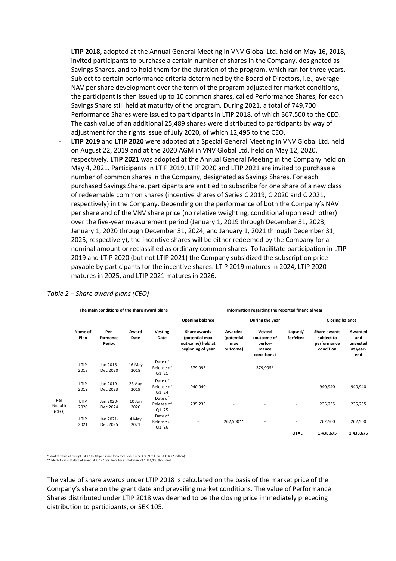- LTIP 2018, adopted at the Annual General Meeting in VNV Global Ltd. held on May 16, 2018, invited participants to purchase a certain number of shares in the Company, designated as Savings Shares, and to hold them for the duration of the program, which ran for three years. Subject to certain performance criteria determined by the Board of Directors, i.e., average NAV per share development over the term of the program adjusted for market conditions, the participant is then issued up to 10 common shares, called Performance Shares, for each Savings Share still held at maturity of the program. During 2021, a total of 749,700 Performance Shares were issued to participants in LTIP 2018, of which 367,500 to the CEO. The cash value of an additional 25,489 shares were distributed to participants by way of adjustment for the rights issue of July 2020, of which 12,495 to the CEO,
- **LTIP 2019** and **LTIP 2020** were adopted at a Special General Meeting in VNV Global Ltd. held on August 22, 2019 and at the 2020 AGM in VNV Global Ltd. held on May 12, 2020, respectively. **LTIP 2021** was adopted at the Annual General Meeting in the Company held on May 4, 2021. Participants in LTIP 2019, LTIP 2020 and LTIP 2021 are invited to purchase a number of common shares in the Company, designated as Savings Shares. For each purchased Savings Share, participants are entitled to subscribe for one share of a new class of redeemable common shares (incentive shares of Series C 2019, C 2020 and C 2021, respectively) in the Company. Depending on the performance of both the Company's NAV per share and of the VNV share price (no relative weighting, conditional upon each other) over the five-year measurement period (January 1, 2019 through December 31, 2023; January 1, 2020 through December 31, 2024; and January 1, 2021 through December 31, 2025, respectively), the incentive shares will be either redeemed by the Company for a nominal amount or reclassified as ordinary common shares. To facilitate participation in LTIP 2019 and LTIP 2020 (but not LTIP 2021) the Company subsidized the subscription price payable by participants for the incentive shares. LTIP 2019 matures in 2024, LTIP 2020 matures in 2025, and LTIP 2021 matures in 2026.

|                 |                            |                |                                | Information regarding the reported financial year                        |                                          |                                                          |                          |                                                        |                                               |  |
|-----------------|----------------------------|----------------|--------------------------------|--------------------------------------------------------------------------|------------------------------------------|----------------------------------------------------------|--------------------------|--------------------------------------------------------|-----------------------------------------------|--|
|                 |                            |                |                                | <b>Opening balance</b>                                                   |                                          | During the year                                          |                          | <b>Closing balance</b>                                 |                                               |  |
| Name of<br>Plan | Per-<br>formance<br>Period | Award<br>Date  | <b>Vesting</b><br>Date         | Share awards<br>(potential max<br>out-come) held at<br>beginning of year | Awarded<br>(potential<br>max<br>outcome) | Vested<br>(outcome of<br>perfor-<br>mance<br>conditions) | Lapsed/<br>forfeited     | Share awards<br>subject to<br>performance<br>condition | Awarded<br>and<br>unvested<br>at year-<br>end |  |
| LTIP<br>2018    | Jan 2018-<br>Dec 2020      | 16 May<br>2018 | Date of<br>Release of<br>Q1'21 | 379,995                                                                  |                                          | 379,995*                                                 |                          |                                                        | $\overline{\phantom{a}}$                      |  |
| LTIP<br>2019    | Jan 2019-<br>Dec 2023      | 23 Aug<br>2019 | Date of<br>Release of<br>Q1'24 | 940,940                                                                  |                                          |                                                          |                          | 940,940                                                | 940,940                                       |  |
| LTIP<br>2020    | Jan 2020-<br>Dec 2024      | 10 Jun<br>2020 | Date of<br>Release of<br>Q1'25 | 235,235                                                                  | $\overline{a}$                           |                                                          | $\overline{\phantom{a}}$ | 235,235                                                | 235,235                                       |  |
| LTIP<br>2021    | Jan 2021-<br>Dec 2025      | 4 May<br>2021  | Date of<br>Release of<br>Q1'26 |                                                                          | 262,500**                                | $\overline{\phantom{a}}$                                 | <b>TOTAL</b>             | 262,500<br>1,438,675                                   | 262,500<br>1,438,675                          |  |
|                 |                            |                |                                | The main conditions of the share award plans                             |                                          |                                                          |                          |                                                        |                                               |  |

# *Table 2 – Share award plans (CEO)*

\* Market value at receipt: SEK 105.00 per share for a total value of SEK 39,9 million (USD 4.72 million). \*\* Market value at date of grant: SEK 7.27 per share for a total value of SEK 1,908 thousand.

The value of share awards under LTIP 2018 is calculated on the basis of the market price of the Company's share on the grant date and prevailing market conditions. The value of Performance Shares distributed under LTIP 2018 was deemed to be the closing price immediately preceding distribution to participants, or SEK 105.